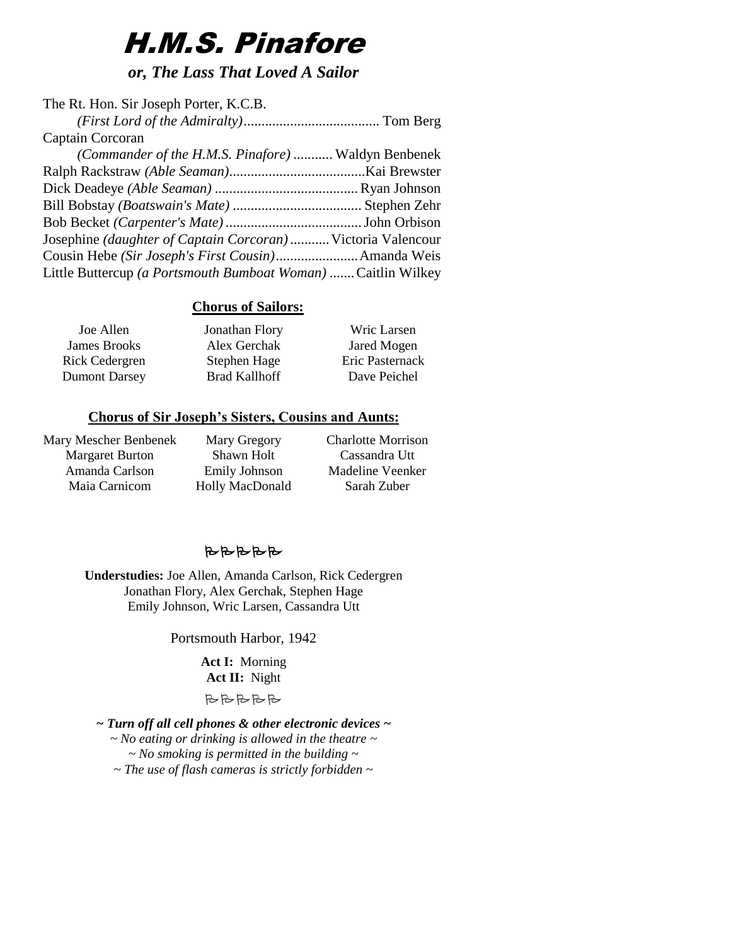# H.M.S. Pinafore

*or, The Lass That Loved A Sailor*

| The Rt. Hon. Sir Joseph Porter, K.C.B.                        |  |
|---------------------------------------------------------------|--|
|                                                               |  |
| Captain Corcoran                                              |  |
| (Commander of the H.M.S. Pinafore)  Waldyn Benbenek           |  |
|                                                               |  |
|                                                               |  |
|                                                               |  |
|                                                               |  |
| Josephine (daughter of Captain Corcoran) Victoria Valencour   |  |
| Cousin Hebe (Sir Joseph's First Cousin) Amanda Weis           |  |
| Little Buttercup (a Portsmouth Bumboat Woman)  Caitlin Wilkey |  |

# **Chorus of Sailors:**

| Joe Allen            | Jonathan Flory       | Wric Larsen     |
|----------------------|----------------------|-----------------|
| <b>James Brooks</b>  | Alex Gerchak         | Jared Mogen     |
| Rick Cedergren       | Stephen Hage         | Eric Pasternack |
| <b>Dumont Darsey</b> | <b>Brad Kallhoff</b> | Dave Peichel    |

# **Chorus of Sir Joseph's Sisters, Cousins and Aunts:**

Mary Mescher Benbenek Margaret Burton Amanda Carlson Maia Carnicom

Mary Gregory Shawn Holt Emily Johnson Holly MacDonald Charlotte Morrison Cassandra Utt Madeline Veenker Sarah Zuber

# BBBBB

**Understudies:** Joe Allen, Amanda Carlson, Rick Cedergren Jonathan Flory, Alex Gerchak, Stephen Hage Emily Johnson, Wric Larsen, Cassandra Utt

Portsmouth Harbor, 1942

**Act I:** Morning **Act II:** Night

BBBBB

*~ Turn off all cell phones & other electronic devices ~ ~ No eating or drinking is allowed in the theatre ~ ~ No smoking is permitted in the building ~ ~ The use of flash cameras is strictly forbidden ~*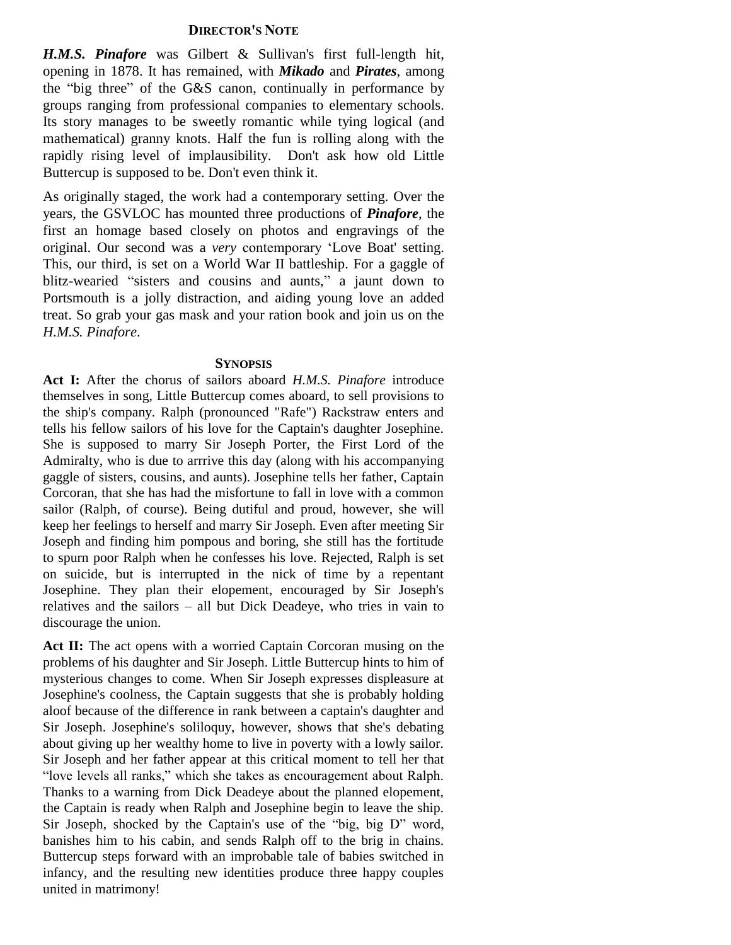### **DIRECTOR'S NOTE**

*H.M.S. Pinafore* was Gilbert & Sullivan's first full-length hit, opening in 1878. It has remained, with *Mikado* and *Pirates*, among the "big three" of the G&S canon, continually in performance by groups ranging from professional companies to elementary schools. Its story manages to be sweetly romantic while tying logical (and mathematical) granny knots. Half the fun is rolling along with the rapidly rising level of implausibility. Don't ask how old Little Buttercup is supposed to be. Don't even think it.

As originally staged, the work had a contemporary setting. Over the years, the GSVLOC has mounted three productions of *Pinafore*, the first an homage based closely on photos and engravings of the original. Our second was a *very* contemporary 'Love Boat' setting. This, our third, is set on a World War II battleship. For a gaggle of blitz-wearied "sisters and cousins and aunts," a jaunt down to Portsmouth is a jolly distraction, and aiding young love an added treat. So grab your gas mask and your ration book and join us on the *H.M.S. Pinafore*.

### **SYNOPSIS**

**Act I:** After the chorus of sailors aboard *H.M.S. Pinafore* introduce themselves in song, Little Buttercup comes aboard, to sell provisions to the ship's company. Ralph (pronounced "Rafe") Rackstraw enters and tells his fellow sailors of his love for the Captain's daughter Josephine. She is supposed to marry Sir Joseph Porter, the First Lord of the Admiralty, who is due to arrrive this day (along with his accompanying gaggle of sisters, cousins, and aunts). Josephine tells her father, Captain Corcoran, that she has had the misfortune to fall in love with a common sailor (Ralph, of course). Being dutiful and proud, however, she will keep her feelings to herself and marry Sir Joseph. Even after meeting Sir Joseph and finding him pompous and boring, she still has the fortitude to spurn poor Ralph when he confesses his love. Rejected, Ralph is set on suicide, but is interrupted in the nick of time by a repentant Josephine. They plan their elopement, encouraged by Sir Joseph's relatives and the sailors – all but Dick Deadeye, who tries in vain to discourage the union.

Act II: The act opens with a worried Captain Corcoran musing on the problems of his daughter and Sir Joseph. Little Buttercup hints to him of mysterious changes to come. When Sir Joseph expresses displeasure at Josephine's coolness, the Captain suggests that she is probably holding aloof because of the difference in rank between a captain's daughter and Sir Joseph. Josephine's soliloquy, however, shows that she's debating about giving up her wealthy home to live in poverty with a lowly sailor. Sir Joseph and her father appear at this critical moment to tell her that "love levels all ranks," which she takes as encouragement about Ralph. Thanks to a warning from Dick Deadeye about the planned elopement, the Captain is ready when Ralph and Josephine begin to leave the ship. Sir Joseph, shocked by the Captain's use of the "big, big D" word, banishes him to his cabin, and sends Ralph off to the brig in chains. Buttercup steps forward with an improbable tale of babies switched in infancy, and the resulting new identities produce three happy couples united in matrimony!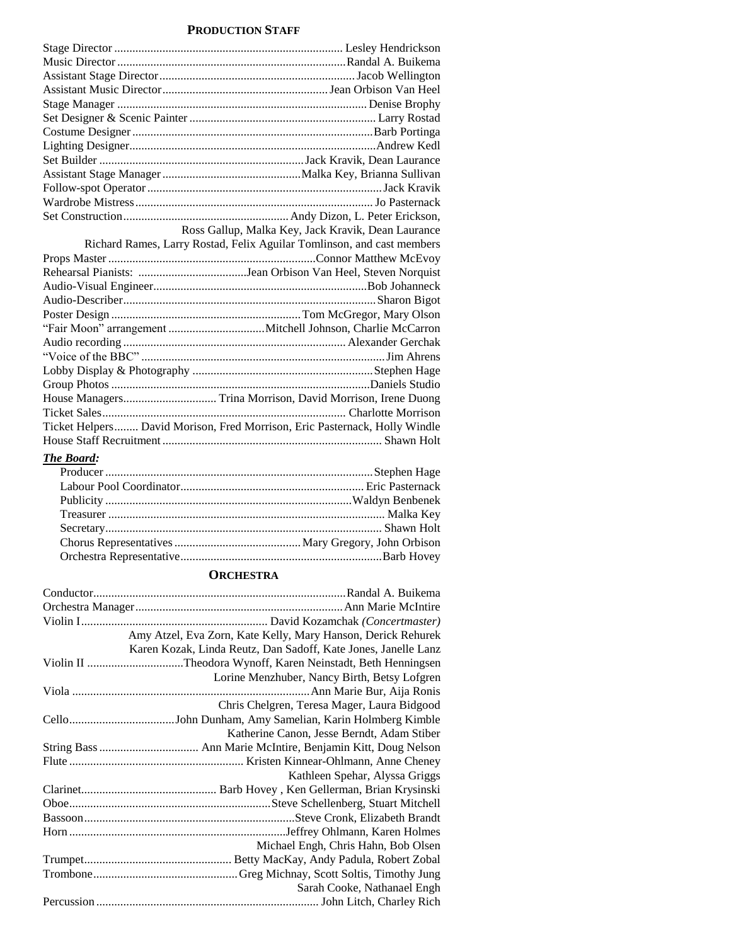# **PRODUCTION STAFF**

| Ross Gallup, Malka Key, Jack Kravik, Dean Laurance                         |
|----------------------------------------------------------------------------|
| Richard Rames, Larry Rostad, Felix Aguilar Tomlinson, and cast members     |
|                                                                            |
|                                                                            |
|                                                                            |
|                                                                            |
|                                                                            |
|                                                                            |
|                                                                            |
|                                                                            |
|                                                                            |
|                                                                            |
|                                                                            |
|                                                                            |
| Ticket Helpers David Morison, Fred Morrison, Eric Pasternack, Holly Windle |
|                                                                            |
|                                                                            |

## *The Board:*

# **ORCHESTRA**

| Amy Atzel, Eva Zorn, Kate Kelly, Mary Hanson, Derick Rehurek   |
|----------------------------------------------------------------|
| Karen Kozak, Linda Reutz, Dan Sadoff, Kate Jones, Janelle Lanz |
|                                                                |
| Lorine Menzhuber, Nancy Birth, Betsy Lofgren                   |
|                                                                |
| Chris Chelgren, Teresa Mager, Laura Bidgood                    |
|                                                                |
| Katherine Canon, Jesse Berndt, Adam Stiber                     |
|                                                                |
|                                                                |
| Kathleen Spehar, Alyssa Griggs                                 |
|                                                                |
|                                                                |
|                                                                |
|                                                                |
| Michael Engh, Chris Hahn, Bob Olsen                            |
|                                                                |
|                                                                |
| Sarah Cooke, Nathanael Engh                                    |
|                                                                |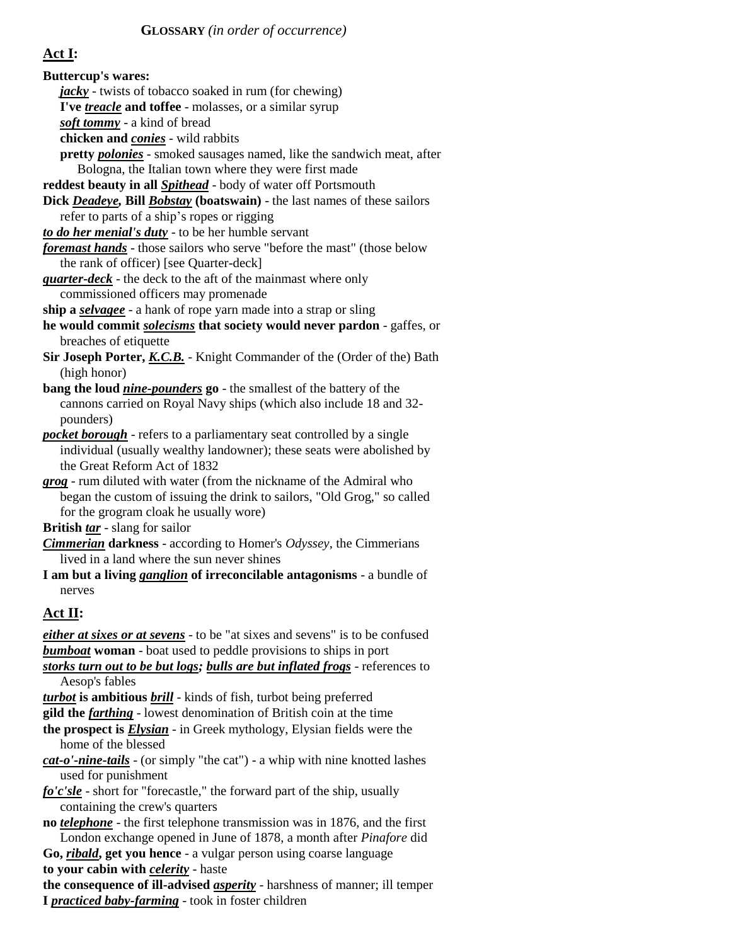# **Act I:**

| <b>Buttercup's wares:</b>                                                           |
|-------------------------------------------------------------------------------------|
| <i>jacky</i> - twists of tobacco soaked in rum (for chewing)                        |
| I've <i>treacle</i> and toffee - molasses, or a similar syrup                       |
| soft tommy - a kind of bread                                                        |
| chicken and <i>conies</i> - wild rabbits                                            |
| pretty <i>polonies</i> - smoked sausages named, like the sandwich meat, after       |
| Bologna, the Italian town where they were first made                                |
| reddest beauty in all <b>Spithead</b> - body of water off Portsmouth                |
| Dick Deadeye, Bill Bobstay (boatswain) - the last names of these sailors            |
| refer to parts of a ship's ropes or rigging                                         |
| to do her menial's duty - to be her humble servant                                  |
| foremast hands - those sailors who serve "before the mast" (those below             |
| the rank of officer) [see Quarter-deck]                                             |
| <i>quarter-deck</i> - the deck to the aft of the mainmast where only                |
| commissioned officers may promenade                                                 |
| ship a selvagee - a hank of rope yarn made into a strap or sling                    |
| he would commit solecisms that society would never pardon - gaffes, or              |
| breaches of etiquette                                                               |
| Sir Joseph Porter, K.C.B. - Knight Commander of the (Order of the) Bath             |
| (high honor)                                                                        |
| bang the loud <i>nine-pounders</i> go - the smallest of the battery of the          |
| cannons carried on Royal Navy ships (which also include 18 and 32-                  |
| pounders)                                                                           |
| <b>pocket borough</b> - refers to a parliamentary seat controlled by a single       |
| individual (usually wealthy landowner); these seats were abolished by               |
| the Great Reform Act of 1832                                                        |
| grog - rum diluted with water (from the nickname of the Admiral who                 |
| began the custom of issuing the drink to sailors, "Old Grog," so called             |
| for the grogram cloak he usually wore)                                              |
| <b>British tar</b> - slang for sailor                                               |
| <b>Cimmerian darkness</b> - according to Homer's Odyssey, the Cimmerians            |
| lived in a land where the sun never shines                                          |
| I am but a living <i>ganglion</i> of irreconcilable antagonisms - a bundle of       |
| nerves                                                                              |
|                                                                                     |
| Act II:                                                                             |
| <i>either at sixes or at sevens</i> - to be "at sixes and sevens" is to be confused |
| <b>bumboat</b> woman - boat used to peddle provisions to ships in port              |
| storks turn out to be but logs; bulls are but inflated frogs - references to        |
| Aesop's fables                                                                      |
| turbot is ambitious brill - kinds of fish, turbot being preferred                   |
| gild the <i>farthing</i> - lowest denomination of British coin at the time          |
| the prospect is <b>Elysian</b> - in Greek mythology, Elysian fields were the        |
| home of the blessed                                                                 |
| cat-o'-nine-tails - (or simply "the cat") - a whip with nine knotted lashes         |
| used for punishment                                                                 |
| fo'c'sle - short for "forecastle," the forward part of the ship, usually            |
| containing the crew's quarters                                                      |
| no <i>telephone</i> - the first telephone transmission was in 1876, and the first   |
| London exchange opened in June of 1878, a month after <i>Pinafore</i> did           |
| Go, <i>ribald</i> , get you hence - a vulgar person using coarse language           |
| to your cabin with <i>celerity</i> - haste                                          |
| the consequence of ill-advised <i>asperity</i> - harshness of manner; ill temper    |
| I <i>practiced baby-farming</i> - took in foster children                           |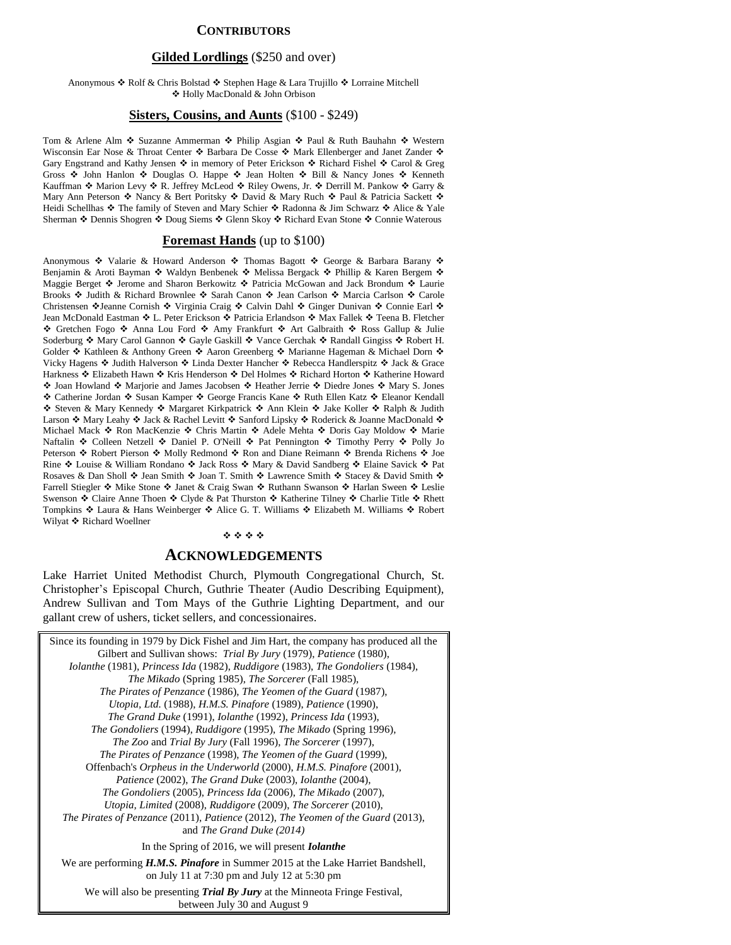### **CONTRIBUTORS**

### **Gilded Lordlings** (\$250 and over)

#### Anonymous ❖ Rolf & Chris Bolstad ❖ Stephen Hage & Lara Trujillo ❖ Lorraine Mitchell Holly MacDonald & John Orbison

### **Sisters, Cousins, and Aunts** (\$100 - \$249)

Tom & Arlene Alm ◆ Suzanne Ammerman ◆ Philip Asgian ◆ Paul & Ruth Bauhahn ◆ Western Wisconsin Ear Nose & Throat Center  $\clubsuit$  Barbara De Cosse  $\clubsuit$  Mark Ellenberger and Janet Zander  $\clubsuit$ Gary Engstrand and Kathy Jensen  $\div$  in memory of Peter Erickson  $\div$  Richard Fishel  $\div$  Carol & Greg Gross  $\div$  John Hanlon  $\div$  Douglas O. Happe  $\div$  Jean Holten  $\div$  Bill & Nancy Jones  $\div$  Kenneth Kauffman  $\cdot$  Marion Levy  $\cdot$  R. Jeffrey McLeod  $\cdot$  Riley Owens, Jr.  $\cdot$  Derrill M. Pankow  $\cdot$  Garry & Mary Ann Peterson  $*$  Nancy & Bert Poritsky  $*$  David & Mary Ruch  $*$  Paul & Patricia Sackett  $*$ Heidi Schellhas ❖ The family of Steven and Mary Schier ❖ Radonna & Jim Schwarz ❖ Alice & Yale Sherman Dennis Shogren Doug Siems Glenn Skoy Richard Evan Stone Connie Waterous

#### **Foremast Hands** (up to \$100)

Anonymous  $\cdot$  Valarie & Howard Anderson  $\cdot$  Thomas Bagott  $\cdot$  George & Barbara Barany  $\cdot$ Benjamin & Aroti Bayman �� Waldyn Benbenek �� Melissa Bergack �� Phillip & Karen Bergem �� Maggie Berget ❖ Jerome and Sharon Berkowitz ❖ Patricia McGowan and Jack Brondum ❖ Laurie Brooks ❖ Judith & Richard Brownlee ❖ Sarah Canon ❖ Jean Carlson ❖ Marcia Carlson ❖ Carole Christensen ❖Jeanne Cornish ❖ Virginia Craig ❖ Calvin Dahl ❖ Ginger Dunivan ❖ Connie Earl ❖ Jean McDonald Eastman ❖ L. Peter Erickson ❖ Patricia Erlandson ❖ Max Fallek ❖ Teena B. Fletcher \* Gretchen Fogo \* Anna Lou Ford \* Amy Frankfurt \* Art Galbraith \* Ross Gallup & Julie Soderburg  $\cdot$  Mary Carol Gannon  $\cdot$  Gayle Gaskill  $\cdot$  Vance Gerchak  $\cdot$  Randall Gingiss  $\cdot$  Robert H. Golder  $*$  Kathleen & Anthony Green  $*$  Aaron Greenberg  $*$  Marianne Hageman & Michael Dorn  $*$ Vicky Hagens ❖ Judith Halverson ❖ Linda Dexter Hancher ❖ Rebecca Handlerspitz ❖ Jack & Grace Harkness ❖ Elizabeth Hawn ❖ Kris Henderson ❖ Del Holmes ❖ Richard Horton ❖ Katherine Howard ◆ Joan Howland ◆ Marjorie and James Jacobsen ◆ Heather Jerrie ◆ Diedre Jones ◆ Mary S. Jones ◆ Catherine Jordan ◆ Susan Kamper ◆ George Francis Kane ◆ Ruth Ellen Katz ◆ Eleanor Kendall ◆ Steven & Mary Kennedy ◆ Margaret Kirkpatrick ◆ Ann Klein ◆ Jake Koller ◆ Ralph & Judith Larson ❖ Mary Leahy ❖ Jack & Rachel Levitt ❖ Sanford Lipsky ❖ Roderick & Joanne MacDonald ❖ Michael Mack Ron MacKenzie Chris Martin Adele Mehta Doris Gay Moldow Marie Naftalin  $\cdot$  Colleen Netzell  $\cdot$  Daniel P. O'Neill  $\cdot$  Pat Pennington  $\cdot$  Timothy Perry  $\cdot$  Polly Jo Peterson ❖ Robert Pierson ❖ Molly Redmond ❖ Ron and Diane Reimann ❖ Brenda Richens ❖ Joe Rine ❖ Louise & William Rondano ❖ Jack Ross ❖ Mary & David Sandberg ❖ Elaine Savick ❖ Pat Rosaves & Dan Sholl  $\div$  Jean Smith  $\div$  Joan T. Smith  $\div$  Lawrence Smith  $\div$  Stacey & David Smith  $\div$ Farrell Stiegler ❖ Mike Stone ❖ Janet & Craig Swan ❖ Ruthann Swanson ❖ Harlan Sween ❖ Leslie Swenson  $\cdot$  Claire Anne Thoen  $\cdot$  Clyde & Pat Thurston  $\cdot$  Katherine Tilney  $\cdot$  Charlie Title  $\cdot$  Rhett Tompkins  $\cdot$  Laura & Hans Weinberger  $\cdot$  Alice G. T. Williams  $\cdot$  Elizabeth M. Williams  $\cdot$  Robert Wilyat ❖ Richard Woellner

#### \*\*\*\*

### **ACKNOWLEDGEMENTS**

Lake Harriet United Methodist Church, Plymouth Congregational Church, St. Christopher's Episcopal Church, Guthrie Theater (Audio Describing Equipment), Andrew Sullivan and Tom Mays of the Guthrie Lighting Department, and our gallant crew of ushers, ticket sellers, and concessionaires.

Since its founding in 1979 by Dick Fishel and Jim Hart, the company has produced all the Gilbert and Sullivan shows: *Trial By Jury* (1979), *Patience* (1980), *Iolanthe* (1981), *Princess Ida* (1982), *Ruddigore* (1983), *The Gondoliers* (1984), *The Mikado* (Spring 1985), *The Sorcerer* (Fall 1985), *The Pirates of Penzance* (1986), *The Yeomen of the Guard* (1987), *Utopia, Ltd.* (1988), *H.M.S. Pinafore* (1989), *Patience* (1990), *The Grand Duke* (1991), *Iolanthe* (1992), *Princess Ida* (1993), *The Gondoliers* (1994), *Ruddigore* (1995), *The Mikado* (Spring 1996), *The Zoo* and *Trial By Jury* (Fall 1996), *The Sorcerer* (1997), *The Pirates of Penzance* (1998), *The Yeomen of the Guard* (1999), Offenbach's *Orpheus in the Underworld* (2000), *H.M.S. Pinafore* (2001), *Patience* (2002), *The Grand Duke* (2003), *Iolanthe* (2004), *The Gondoliers* (2005), *Princess Ida* (2006), *The Mikado* (2007), *Utopia, Limited* (2008), *Ruddigore* (2009), *The Sorcerer* (2010), *The Pirates of Penzance* (2011), *Patience* (2012), *The Yeomen of the Guard* (2013), and *The Grand Duke (2014)* In the Spring of 2016, we will present *Iolanthe* We are performing *H.M.S. Pinafore* in Summer 2015 at the Lake Harriet Bandshell, on July 11 at 7:30 pm and July 12 at 5:30 pm We will also be presenting *Trial By Jury* at the Minneota Fringe Festival, between July 30 and August 9